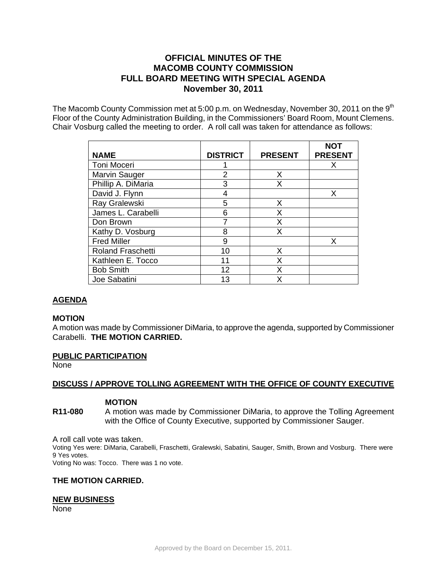# **OFFICIAL MINUTES OF THE MACOMB COUNTY COMMISSION FULL BOARD MEETING WITH SPECIAL AGENDA November 30, 2011**

The Macomb County Commission met at 5:00 p.m. on Wednesday, November 30, 2011 on the  $9<sup>th</sup>$ Floor of the County Administration Building, in the Commissioners' Board Room, Mount Clemens. Chair Vosburg called the meeting to order. A roll call was taken for attendance as follows:

|                          |                 |                | <b>NOT</b>     |
|--------------------------|-----------------|----------------|----------------|
| <b>NAME</b>              | <b>DISTRICT</b> | <b>PRESENT</b> | <b>PRESENT</b> |
| Toni Moceri              |                 |                | x              |
| <b>Marvin Sauger</b>     | 2               | Χ              |                |
| Phillip A. DiMaria       | 3               | Χ              |                |
| David J. Flynn           | 4               |                | X              |
| Ray Gralewski            | 5               | Х              |                |
| James L. Carabelli       | 6               | Χ              |                |
| Don Brown                |                 | Χ              |                |
| Kathy D. Vosburg         | 8               | х              |                |
| <b>Fred Miller</b>       | 9               |                | X              |
| <b>Roland Fraschetti</b> | 10              | х              |                |
| Kathleen E. Tocco        | 11              | Χ              |                |
| <b>Bob Smith</b>         | 12              | Χ              |                |
| Joe Sabatini             | 13              | χ              |                |

## **AGENDA**

#### **MOTION**

A motion was made by Commissioner DiMaria, to approve the agenda, supported by Commissioner Carabelli. **THE MOTION CARRIED.** 

#### **PUBLIC PARTICIPATION**

None

#### **DISCUSS / APPROVE TOLLING AGREEMENT WITH THE OFFICE OF COUNTY EXECUTIVE**

## **MOTION**

**R11-080** A motion was made by Commissioner DiMaria, to approve the Tolling Agreement with the Office of County Executive, supported by Commissioner Sauger.

A roll call vote was taken.

Voting Yes were: DiMaria, Carabelli, Fraschetti, Gralewski, Sabatini, Sauger, Smith, Brown and Vosburg. There were 9 Yes votes.

Voting No was: Tocco. There was 1 no vote.

#### **THE MOTION CARRIED.**

#### **NEW BUSINESS**

None